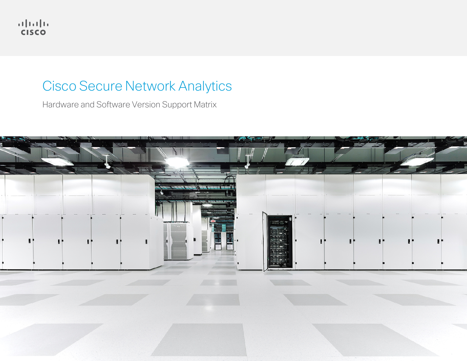

# Cisco Secure Network Analytics

Hardware and Software Version Support Matrix

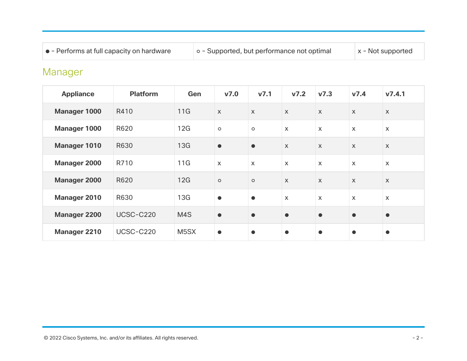| • - Performs at full capacity on hardware | o - Supported, but performance not optimal | $\vert x$ - Not supported |
|-------------------------------------------|--------------------------------------------|---------------------------|
|-------------------------------------------|--------------------------------------------|---------------------------|

# Manager

| <b>Appliance</b>    | <b>Platform</b>  | Gen               | V <sub>7.0</sub>          | V <sub>7.1</sub> | V <sub>7.2</sub> | V <sub>7.3</sub>          | v7.4         | V7.4.1                    |
|---------------------|------------------|-------------------|---------------------------|------------------|------------------|---------------------------|--------------|---------------------------|
| <b>Manager 1000</b> | R410             | 11G               | $\mathsf{x}$              | $\mathsf{X}$     | $\mathsf{X}$     | $\mathsf{x}$              | $\mathsf{X}$ | $\mathsf{x}$              |
| <b>Manager 1000</b> | R620             | 12G               | $\circ$                   | $\circ$          | $\mathsf{x}$     | $\mathsf{x}$              | $\mathsf{x}$ | $\mathsf{x}$              |
| <b>Manager 1010</b> | R630             | 13G               | $\bullet$                 | $\bullet$        | $\mathsf{X}$     | $\mathsf{X}$              | $\mathsf{X}$ | $\mathsf{X}$              |
| <b>Manager 2000</b> | R710             | 11G               | $\boldsymbol{\mathsf{X}}$ | $\mathsf{x}$     | $\mathsf{X}$     | $\boldsymbol{\mathsf{X}}$ | $\mathsf{X}$ | $\mathsf{x}$              |
| <b>Manager 2000</b> | R620             | 12G               | $\circ$                   | $\circ$          | $\mathsf{x}$     | $\boldsymbol{\mathsf{X}}$ | $\mathsf{X}$ | $\boldsymbol{\mathsf{X}}$ |
| <b>Manager 2010</b> | R630             | 13G               | $\bullet$                 | $\bullet$        | $\mathsf{x}$     | $\boldsymbol{\mathsf{X}}$ | $\mathsf{x}$ | $\mathsf{X}$              |
| <b>Manager 2200</b> | <b>UCSC-C220</b> | M4S               | $\bullet$                 | $\bullet$        | $\bullet$        | $\bullet$                 | $\bullet$    | $\bullet$                 |
| <b>Manager 2210</b> | <b>UCSC-C220</b> | M <sub>5</sub> SX | $\bullet$                 | $\bullet$        | $\bullet$        | $\bullet$                 | $\bullet$    | $\bullet$                 |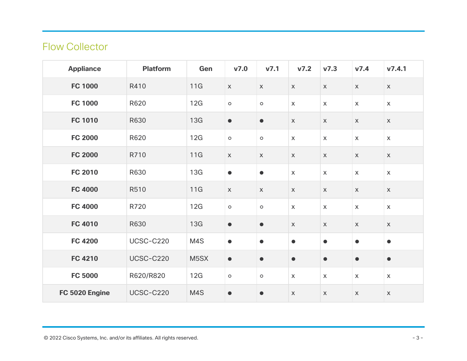## Flow Collector

| <b>Appliance</b> | <b>Platform</b>  | Gen        | V7.0                      | v7.1        | V7.2         | V <sub>7.3</sub>          | V7.4                      | V7.4.1                    |
|------------------|------------------|------------|---------------------------|-------------|--------------|---------------------------|---------------------------|---------------------------|
| <b>FC 1000</b>   | R410             | 11G        | $\boldsymbol{\mathsf{X}}$ | $\mathsf X$ | $\mathsf{X}$ | $\mathsf{X}$              | $\boldsymbol{\mathsf{X}}$ | $\mathsf X$               |
| <b>FC 1000</b>   | R620             | 12G        | $\circ$                   | $\circ$     | $\mathsf{X}$ | $\mathsf{X}$              | $\mathsf{X}$              | $\mathsf{X}$              |
| <b>FC 1010</b>   | R630             | 13G        | $\bullet$                 | $\bullet$   | $\mathsf X$  | $\mathsf X$               | $\mathsf X$               | $\mathsf X$               |
| <b>FC 2000</b>   | R620             | 12G        | $\circ$                   | $\circ$     | $\mathsf{X}$ | $\mathsf X$               | $\mathsf X$               | $\mathsf X$               |
| <b>FC 2000</b>   | R710             | 11G        | $\mathsf X$               | $\mathsf X$ | $\mathsf X$  | $\mathsf X$               | $\boldsymbol{\mathsf{X}}$ | $\boldsymbol{\mathsf{X}}$ |
| <b>FC 2010</b>   | R630             | 13G        | $\bullet$                 | $\bullet$   | $\mathsf{X}$ | $\mathsf{X}$              | $\mathsf X$               | $\mathsf X$               |
| <b>FC 4000</b>   | R510             | 11G        | $\boldsymbol{\mathsf{X}}$ | $\mathsf X$ | $\mathsf{X}$ | $\boldsymbol{\mathsf{X}}$ | $\boldsymbol{\mathsf{X}}$ | $\mathsf X$               |
| <b>FC 4000</b>   | R720             | 12G        | $\circ$                   | $\circ$     | $\mathsf{X}$ | $\mathsf{X}$              | $\mathsf X$               | $\mathsf{X}$              |
| <b>FC 4010</b>   | R630             | <b>13G</b> | $\bullet$                 | $\bullet$   | $\mathsf{X}$ | $\mathsf X$               | $\mathsf X$               | $\mathsf X$               |
| <b>FC 4200</b>   | <b>UCSC-C220</b> | M4S        | $\bullet$                 | $\bullet$   | $\bullet$    | $\bullet$                 | $\bullet$                 | ●                         |
| <b>FC 4210</b>   | <b>UCSC-C220</b> | M5SX       | $\bullet$                 | $\bullet$   | $\bullet$    | $\bullet$                 | $\bullet$                 | $\bullet$                 |
| <b>FC 5000</b>   | R620/R820        | 12G        | $\circ$                   | $\circ$     | $\mathsf{X}$ | $\mathsf{X}$              | $\mathsf X$               | $\mathsf X$               |
| FC 5020 Engine   | <b>UCSC-C220</b> | M4S        | $\bullet$                 | $\bullet$   | $\mathsf X$  | $\mathsf X$               | $\mathsf X$               | $\mathsf{X}$              |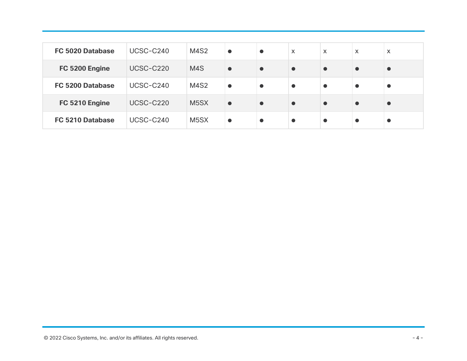| <b>FC 5020 Database</b> | UCSC-C240 | <b>M4S2</b>       | $\bullet$ | $\bullet$ | $\mathsf{X}$ | $\boldsymbol{\mathsf{X}}$ | X         | $\boldsymbol{\mathsf{X}}$ |
|-------------------------|-----------|-------------------|-----------|-----------|--------------|---------------------------|-----------|---------------------------|
| FC 5200 Engine          | UCSC-C220 | M <sub>4</sub> S  | $\bullet$ | $\bullet$ | $\bullet$    | $\bullet$                 | $\bullet$ | $\bullet$                 |
| <b>FC 5200 Database</b> | UCSC-C240 | <b>M4S2</b>       | $\bullet$ | $\bullet$ | $\bullet$    | $\bullet$                 | $\bullet$ | $\bullet$                 |
| FC 5210 Engine          | UCSC-C220 | M <sub>5</sub> SX | $\bullet$ | $\bullet$ | $\bullet$    | $\bullet$                 | $\bullet$ | $\bullet$                 |
| <b>FC 5210 Database</b> | UCSC-C240 | M <sub>5</sub> SX | $\bullet$ | $\bullet$ | $\bullet$    | $\bullet$                 | $\bullet$ | $\bullet$                 |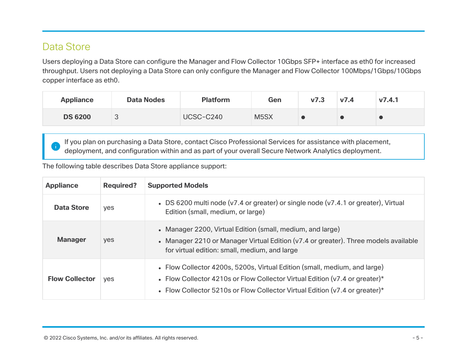### Data Store

Users deploying a Data Store can configure the Manager and Flow Collector 10Gbps SFP+ interface as eth0 for increased throughput. Users not deploying a Data Store can only configure the Manager and Flow Collector 100Mbps/1Gbps/10Gbps copper interface as eth0.

| <b>Appliance</b> | <b>Data Nodes</b> | <b>Platform</b> | Gen               | V <sub>7.3</sub> | V7.4 | V7.4.1 |
|------------------|-------------------|-----------------|-------------------|------------------|------|--------|
| <b>DS 6200</b>   | $\sqrt{2}$<br>◡   | UCSC-C240       | M <sub>5</sub> SX |                  |      |        |

If you plan on purchasing a Data Store, contact Cisco Professional Services for assistance with placement, deployment, and configuration within and as part of your overall Secure Network Analytics deployment.

#### The following table describes Data Store appliance support:

| <b>Appliance</b>      | <b>Required?</b> | <b>Supported Models</b>                                                                                                                                                                                                                    |
|-----------------------|------------------|--------------------------------------------------------------------------------------------------------------------------------------------------------------------------------------------------------------------------------------------|
| <b>Data Store</b>     | yes              | • DS 6200 multi node (v7.4 or greater) or single node (v7.4.1 or greater), Virtual<br>Edition (small, medium, or large)                                                                                                                    |
| <b>Manager</b>        | yes              | • Manager 2200, Virtual Edition (small, medium, and large)<br>• Manager 2210 or Manager Virtual Edition (v7.4 or greater). Three models available<br>for virtual edition: small, medium, and large                                         |
| <b>Flow Collector</b> | <b>ves</b>       | • Flow Collector 4200s, 5200s, Virtual Edition (small, medium, and large)<br>• Flow Collector 4210s or Flow Collector Virtual Edition ( $v7.4$ or greater)*<br>• Flow Collector 5210s or Flow Collector Virtual Edition (v7.4 or greater)* |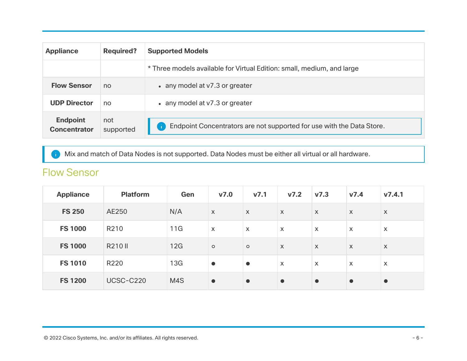| <b>Appliance</b>                       | <b>Required?</b> | <b>Supported Models</b>                                                |
|----------------------------------------|------------------|------------------------------------------------------------------------|
|                                        |                  | * Three models available for Virtual Edition: small, medium, and large |
| <b>Flow Sensor</b>                     | no               | • any model at v7.3 or greater                                         |
| <b>UDP Director</b>                    | no               | • any model at v7.3 or greater                                         |
| <b>Endpoint</b><br><b>Concentrator</b> | not<br>supported | Endpoint Concentrators are not supported for use with the Data Store.  |

Mix and match of Data Nodes is not supported. Data Nodes must be either all virtual or all hardware.

### Flow Sensor

| <b>Appliance</b> | <b>Platform</b> | Gen | V7.0                      | v7.1                      | V7.2                      | V <sub>7.3</sub>          | v7.4                      | V7.4.1                    |
|------------------|-----------------|-----|---------------------------|---------------------------|---------------------------|---------------------------|---------------------------|---------------------------|
| <b>FS 250</b>    | AE250           | N/A | $\boldsymbol{\mathsf{X}}$ | $\boldsymbol{\mathsf{X}}$ | $\mathsf{X}$              | $\mathsf{X}$              | $\mathsf{X}$              | $\boldsymbol{\mathsf{X}}$ |
| <b>FS 1000</b>   | R210            | 11G | X                         | $\boldsymbol{\mathsf{X}}$ | $\boldsymbol{\mathsf{X}}$ | $\mathsf{x}$              | $\mathsf{X}$              | $\boldsymbol{\mathsf{X}}$ |
| <b>FS 1000</b>   | <b>R210 II</b>  | 12G | $\circ$                   | $\circ$                   | $\mathsf{X}$              | $\mathsf{X}$              | $\boldsymbol{\mathsf{X}}$ | $\boldsymbol{\mathsf{X}}$ |
| <b>FS 1010</b>   | R220            | 13G | $\bullet$                 | $\bullet$                 | $\boldsymbol{\mathsf{X}}$ | $\boldsymbol{\mathsf{X}}$ | $\boldsymbol{\mathsf{X}}$ | $\boldsymbol{\mathsf{X}}$ |
| <b>FS 1200</b>   | UCSC-C220       | M4S | $\bullet$                 | $\bullet$                 | $\bullet$                 | $\bullet$                 | $\bullet$                 | $\bullet$                 |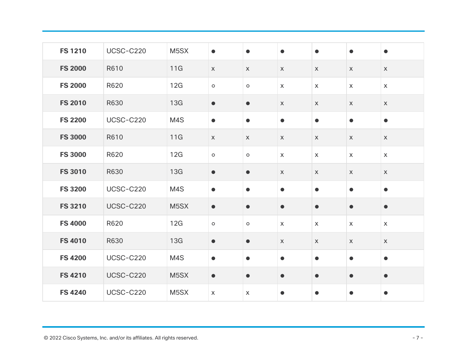| <b>FS 1210</b> | <b>UCSC-C220</b> | M5SX              | $\bullet$   | $\bullet$   | $\bullet$    | $\bullet$   | $\bullet$    | $\bullet$    |
|----------------|------------------|-------------------|-------------|-------------|--------------|-------------|--------------|--------------|
| <b>FS 2000</b> | R610             | 11G               | $\mathsf X$ | $\mathsf X$ | $\mathsf X$  | $\mathsf X$ | $\mathsf X$  | $\mathsf X$  |
| <b>FS 2000</b> | R620             | 12G               | $\circ$     | $\circ$     | $\mathsf{X}$ | $\mathsf X$ | $\mathsf{X}$ | $\mathsf{X}$ |
| <b>FS 2010</b> | R630             | 13G               | $\bullet$   | $\bullet$   | $\mathsf X$  | $\mathsf X$ | $\mathsf X$  | $\mathsf X$  |
| <b>FS 2200</b> | <b>UCSC-C220</b> | M4S               | $\bullet$   | $\bullet$   | $\bullet$    | $\bullet$   | $\bullet$    | $\bullet$    |
| <b>FS 3000</b> | R610             | 11G               | $\mathsf X$ | $\mathsf X$ | $\mathsf X$  | $\mathsf X$ | $\mathsf X$  | $\mathsf X$  |
| <b>FS 3000</b> | R620             | 12G               | $\circ$     | $\circ$     | $\mathsf{X}$ | $\mathsf X$ | $\mathsf{X}$ | $\mathsf{X}$ |
| <b>FS 3010</b> | R630             | 13G               | $\bullet$   | $\bullet$   | $\mathsf X$  | $\mathsf X$ | $\mathsf X$  | $\mathsf X$  |
| <b>FS 3200</b> | <b>UCSC-C220</b> | M4S               | $\bullet$   | $\bullet$   | $\bullet$    | $\bullet$   | $\bullet$    | $\bullet$    |
| <b>FS 3210</b> | <b>UCSC-C220</b> | M <sub>5</sub> SX | $\bullet$   | $\bullet$   | $\bullet$    | $\bullet$   | $\bullet$    | $\bullet$    |
| <b>FS 4000</b> | R620             | 12G               | $\circ$     | $\circ$     | $\mathsf X$  | $\mathsf X$ | $\mathsf X$  | $\mathsf{X}$ |
| <b>FS 4010</b> | R630             | 13G               | $\bullet$   | $\bullet$   | $\mathsf X$  | $\mathsf X$ | $\mathsf X$  | $\mathsf X$  |
| <b>FS 4200</b> | <b>UCSC-C220</b> | M4S               | $\bullet$   | $\bullet$   | $\bullet$    | $\bullet$   | $\bullet$    | $\bullet$    |
| <b>FS 4210</b> | <b>UCSC-C220</b> | M <sub>5</sub> SX | $\bullet$   | $\bullet$   | $\bullet$    | $\bullet$   | $\bullet$    | $\bullet$    |
| <b>FS 4240</b> | UCSC-C220        | M <sub>5</sub> SX | $\mathsf X$ | $\mathsf X$ | $\bullet$    | $\bullet$   | $\bullet$    | $\bullet$    |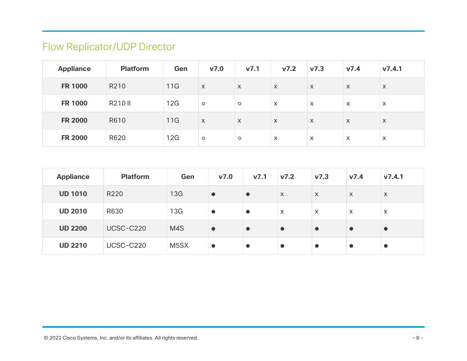# Flow Replicator/UDP Director

| <b>Appliance</b> | <b>Platform</b> | Gen | V7.0                      | v7.1                      | v7.2                      | $\mathsf{v7.3}$           | v7.4                      | V7.4.1                    |
|------------------|-----------------|-----|---------------------------|---------------------------|---------------------------|---------------------------|---------------------------|---------------------------|
| <b>FR 1000</b>   | R210            | 11G | $\boldsymbol{\mathsf{X}}$ | $\mathsf{X}$              | $\mathsf{X}$              | $\mathsf{X}$              | $\mathsf{X}$              | $\mathsf{X}$              |
| <b>FR 1000</b>   | R210 II         | 12G | $\circ$                   | $\circ$                   | $\boldsymbol{\mathsf{X}}$ | $\mathsf{X}$              | $\boldsymbol{\mathsf{X}}$ | $\boldsymbol{\mathsf{X}}$ |
| <b>FR 2000</b>   | R610            | 11G | X                         | $\boldsymbol{\mathsf{X}}$ | $\mathsf{X}$              | $\mathsf{X}$              | $\mathsf{X}$              | $\mathsf{X}$              |
| <b>FR 2000</b>   | R620            | 12G | $\circ$                   | $\circ$                   | $\boldsymbol{\mathsf{X}}$ | $\boldsymbol{\mathsf{X}}$ | $\mathsf{x}$              | $\boldsymbol{\mathsf{X}}$ |

| <b>Appliance</b> | <b>Platform</b>  | Gen               | V7.0      | v7.1      | V7.2         | v7.3                      | v7.4                      | V7.4.1                    |
|------------------|------------------|-------------------|-----------|-----------|--------------|---------------------------|---------------------------|---------------------------|
| <b>UD 1010</b>   | R220             | 13G               | $\bullet$ | $\bullet$ | $\mathsf{X}$ | $\boldsymbol{\mathsf{X}}$ | $\boldsymbol{\mathsf{X}}$ | X                         |
| <b>UD 2010</b>   | R630             | 13G               | $\bullet$ | $\bullet$ | $\mathsf{X}$ | $\boldsymbol{\mathsf{X}}$ | $\boldsymbol{\mathsf{X}}$ | $\boldsymbol{\mathsf{X}}$ |
| <b>UD 2200</b>   | UCSC-C220        | M4S               | $\bullet$ | $\bullet$ | $\bullet$    | $\bullet$                 | $\bullet$                 |                           |
| <b>UD 2210</b>   | <b>UCSC-C220</b> | M <sub>5</sub> SX |           | $\bullet$ | $\bullet$    | $\bullet$                 |                           |                           |